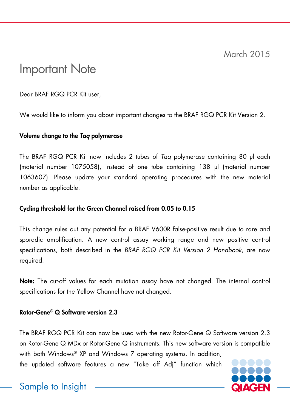March 2015

# Important Note

Dear BRAF RGQ PCR Kit user,

We would like to inform you about important changes to the BRAF RGQ PCR Kit Version 2.

#### Volume change to the *Taq* polymerase

The BRAF RGQ PCR Kit now includes 2 tubes of *Taq* polymerase containing 80 μl each (material number 1075058), instead of one tube containing 138 μl (material number 1063607). Please update your standard operating procedures with the new material number as applicable.

### Cycling threshold for the Green Channel raised from 0.05 to 0.15

This change rules out any potential for a BRAF V600R false-positive result due to rare and sporadic amplification. A new control assay working range and new positive control specifications, both described in the *BRAF RGQ PCR Kit Version 2 Handbook*, are now required.

Note: The cut-off values for each mutation assay have not changed. The internal control specifications for the Yellow Channel have not changed.

#### Rotor-Gene® Q Software version 2.3

The BRAF RGQ PCR Kit can now be used with the new Rotor-Gene Q Software version 2.3 on Rotor-Gene Q MDx or Rotor-Gene Q instruments. This new software version is compatible with both Windows® XP and Windows 7 operating systems. In addition,

the updated software features a new "Take off Adj" function which



## Sample to Insight